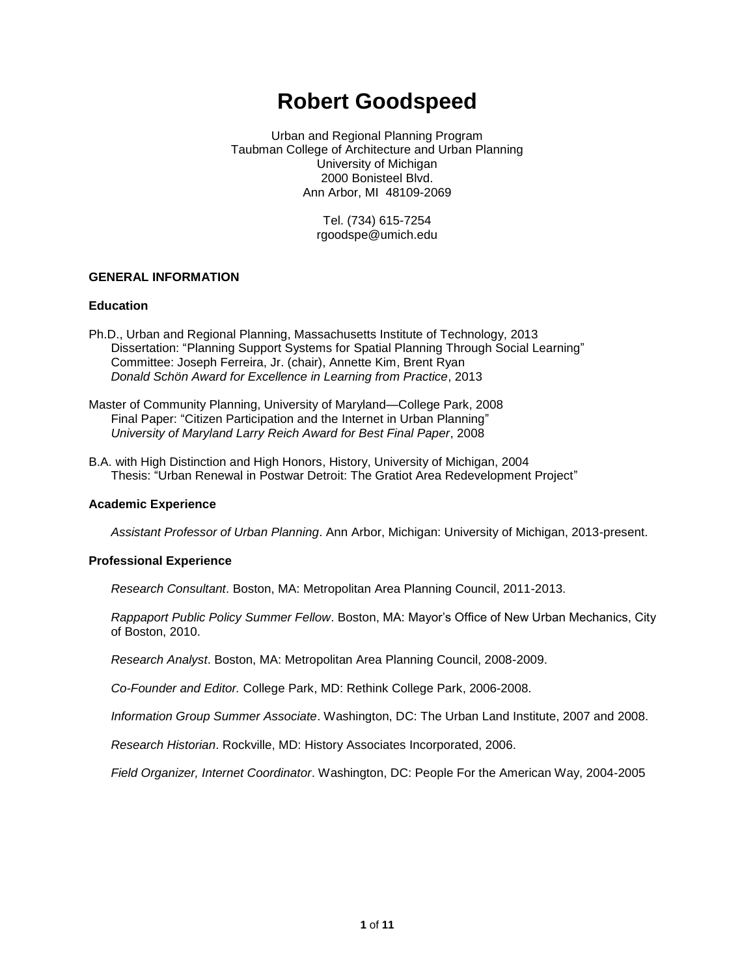# **Robert Goodspeed**

Urban and Regional Planning Program Taubman College of Architecture and Urban Planning University of Michigan 2000 Bonisteel Blvd. Ann Arbor, MI 48109-2069

> Tel. (734) 615-7254 rgoodspe@umich.edu

# **GENERAL INFORMATION**

# **Education**

- Ph.D., Urban and Regional Planning, Massachusetts Institute of Technology, 2013 Dissertation: "Planning Support Systems for Spatial Planning Through Social Learning" Committee: Joseph Ferreira, Jr. (chair), Annette Kim, Brent Ryan *Donald Schön Award for Excellence in Learning from Practice*, 2013
- Master of Community Planning, University of Maryland—College Park, 2008 Final Paper: "Citizen Participation and the Internet in Urban Planning" *University of Maryland Larry Reich Award for Best Final Paper*, 2008
- B.A. with High Distinction and High Honors, History, University of Michigan, 2004 Thesis: "Urban Renewal in Postwar Detroit: The Gratiot Area Redevelopment Project"

# **Academic Experience**

*Assistant Professor of Urban Planning*. Ann Arbor, Michigan: University of Michigan, 2013-present.

# **Professional Experience**

*Research Consultant*. Boston, MA: Metropolitan Area Planning Council, 2011-2013.

*Rappaport Public Policy Summer Fellow*. Boston, MA: Mayor's Office of New Urban Mechanics, City of Boston, 2010.

*Research Analyst*. Boston, MA: Metropolitan Area Planning Council, 2008-2009.

*Co-Founder and Editor.* College Park, MD: Rethink College Park, 2006-2008.

*Information Group Summer Associate*. Washington, DC: The Urban Land Institute, 2007 and 2008.

*Research Historian*. Rockville, MD: History Associates Incorporated, 2006.

*Field Organizer, Internet Coordinator*. Washington, DC: People For the American Way, 2004-2005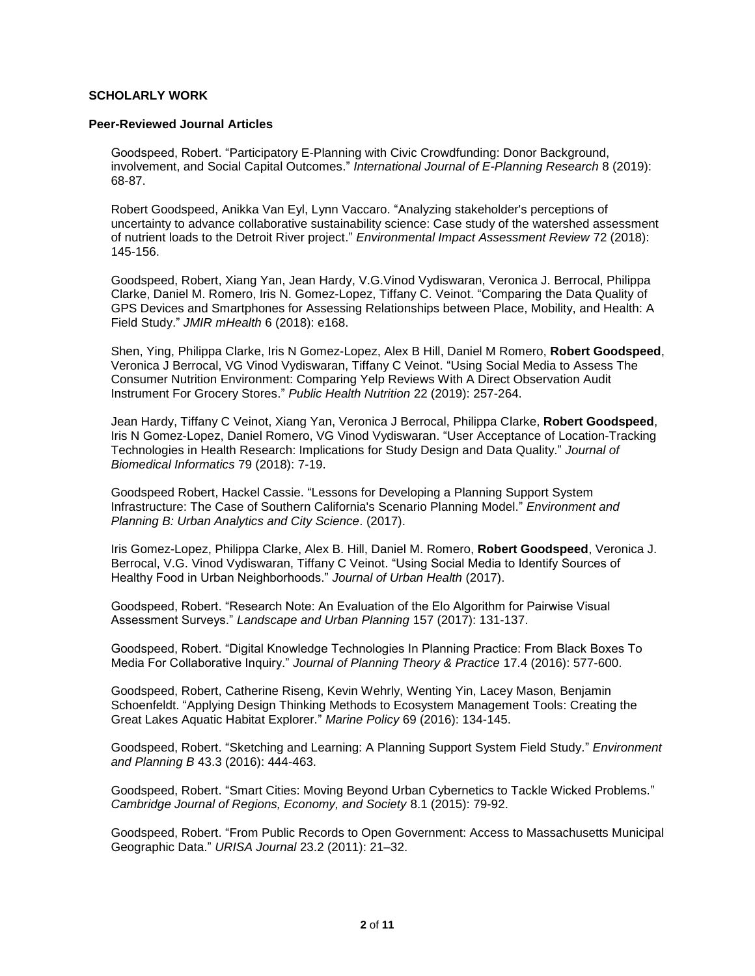# **SCHOLARLY WORK**

#### **Peer-Reviewed Journal Articles**

Goodspeed, Robert. "Participatory E-Planning with Civic Crowdfunding: Donor Background, involvement, and Social Capital Outcomes." *International Journal of E-Planning Research* 8 (2019): 68-87.

Robert Goodspeed, Anikka Van Eyl, Lynn Vaccaro. "Analyzing stakeholder's perceptions of uncertainty to advance collaborative sustainability science: Case study of the watershed assessment of nutrient loads to the Detroit River project." *Environmental Impact Assessment Review* 72 (2018): 145-156.

Goodspeed, Robert, Xiang Yan, Jean Hardy, V.G.Vinod Vydiswaran, Veronica J. Berrocal, Philippa Clarke, Daniel M. Romero, Iris N. Gomez-Lopez, Tiffany C. Veinot. "Comparing the Data Quality of GPS Devices and Smartphones for Assessing Relationships between Place, Mobility, and Health: A Field Study." *JMIR mHealth* 6 (2018): e168.

Shen, Ying, Philippa Clarke, Iris N Gomez-Lopez, Alex B Hill, Daniel M Romero, **Robert Goodspeed**, Veronica J Berrocal, VG Vinod Vydiswaran, Tiffany C Veinot. "Using Social Media to Assess The Consumer Nutrition Environment: Comparing Yelp Reviews With A Direct Observation Audit Instrument For Grocery Stores." *Public Health Nutrition* 22 (2019): 257-264.

Jean Hardy, Tiffany C Veinot, Xiang Yan, Veronica J Berrocal, Philippa Clarke, **Robert Goodspeed**, Iris N Gomez-Lopez, Daniel Romero, VG Vinod Vydiswaran. "User Acceptance of Location-Tracking Technologies in Health Research: Implications for Study Design and Data Quality." *Journal of Biomedical Informatics* 79 (2018): 7-19.

Goodspeed Robert, Hackel Cassie. "Lessons for Developing a Planning Support System Infrastructure: The Case of Southern California's Scenario Planning Model." *Environment and Planning B: Urban Analytics and City Science*. (2017).

Iris Gomez-Lopez, Philippa Clarke, Alex B. Hill, Daniel M. Romero, **Robert Goodspeed**, Veronica J. Berrocal, V.G. Vinod Vydiswaran, Tiffany C Veinot. "Using Social Media to Identify Sources of Healthy Food in Urban Neighborhoods." *Journal of Urban Health* (2017).

Goodspeed, Robert. "Research Note: An Evaluation of the Elo Algorithm for Pairwise Visual Assessment Surveys." *Landscape and Urban Planning* 157 (2017): 131-137.

Goodspeed, Robert. "Digital Knowledge Technologies In Planning Practice: From Black Boxes To Media For Collaborative Inquiry." *Journal of Planning Theory & Practice* 17.4 (2016): 577-600.

Goodspeed, Robert, Catherine Riseng, Kevin Wehrly, Wenting Yin, Lacey Mason, Benjamin Schoenfeldt. "Applying Design Thinking Methods to Ecosystem Management Tools: Creating the Great Lakes Aquatic Habitat Explorer." *Marine Policy* 69 (2016): 134-145.

Goodspeed, Robert. "Sketching and Learning: A Planning Support System Field Study." *Environment and Planning B* 43.3 (2016): 444-463.

Goodspeed, Robert. "Smart Cities: Moving Beyond Urban Cybernetics to Tackle Wicked Problems." *Cambridge Journal of Regions, Economy, and Society* 8.1 (2015): 79-92.

Goodspeed, Robert. "From Public Records to Open Government: Access to Massachusetts Municipal Geographic Data." *URISA Journal* 23.2 (2011): 21–32.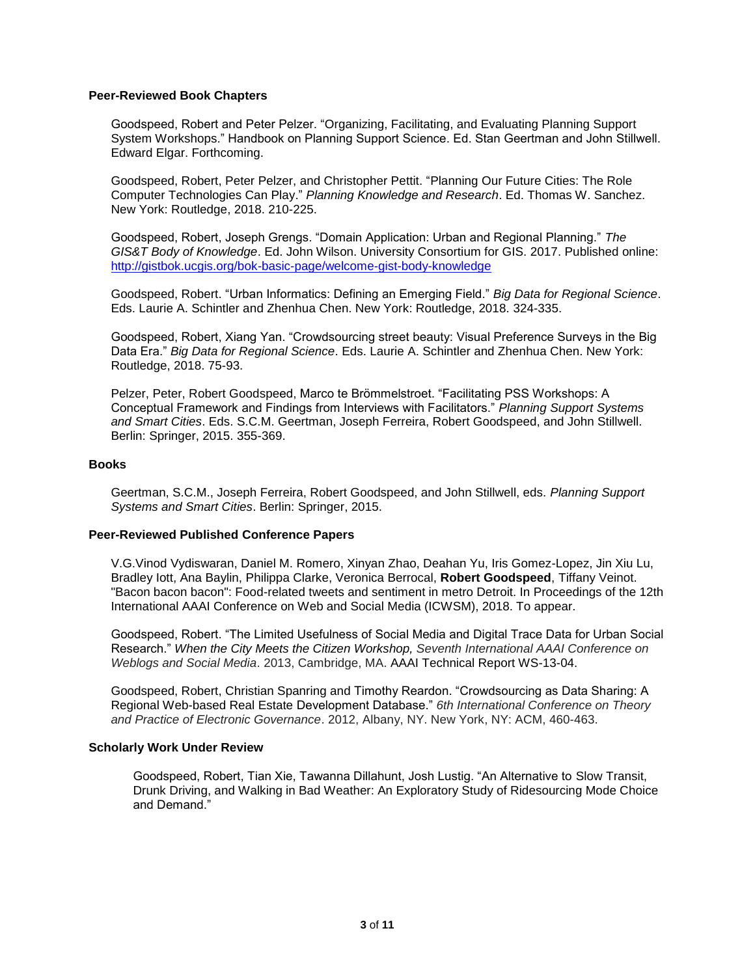# **Peer-Reviewed Book Chapters**

Goodspeed, Robert and Peter Pelzer. "Organizing, Facilitating, and Evaluating Planning Support System Workshops." Handbook on Planning Support Science. Ed. Stan Geertman and John Stillwell. Edward Elgar. Forthcoming.

Goodspeed, Robert, Peter Pelzer, and Christopher Pettit. "Planning Our Future Cities: The Role Computer Technologies Can Play." *Planning Knowledge and Research*. Ed. Thomas W. Sanchez. New York: Routledge, 2018. 210-225.

Goodspeed, Robert, Joseph Grengs. "Domain Application: Urban and Regional Planning." *The GIS&T Body of Knowledge*. Ed. John Wilson. University Consortium for GIS. 2017. Published online: <http://gistbok.ucgis.org/bok-basic-page/welcome-gist-body-knowledge>

Goodspeed, Robert. "Urban Informatics: Defining an Emerging Field." *Big Data for Regional Science*. Eds. Laurie A. Schintler and Zhenhua Chen. New York: Routledge, 2018. 324-335.

Goodspeed, Robert, Xiang Yan. "Crowdsourcing street beauty: Visual Preference Surveys in the Big Data Era." *Big Data for Regional Science*. Eds. Laurie A. Schintler and Zhenhua Chen. New York: Routledge, 2018. 75-93.

Pelzer, Peter, Robert Goodspeed, Marco te Brömmelstroet. "Facilitating PSS Workshops: A Conceptual Framework and Findings from Interviews with Facilitators." *Planning Support Systems and Smart Cities*. Eds. S.C.M. Geertman, Joseph Ferreira, Robert Goodspeed, and John Stillwell. Berlin: Springer, 2015. 355-369.

## **Books**

Geertman, S.C.M., Joseph Ferreira, Robert Goodspeed, and John Stillwell, eds. *Planning Support Systems and Smart Cities*. Berlin: Springer, 2015.

#### **Peer-Reviewed Published Conference Papers**

V.G.Vinod Vydiswaran, Daniel M. Romero, Xinyan Zhao, Deahan Yu, Iris Gomez-Lopez, Jin Xiu Lu, Bradley Iott, Ana Baylin, Philippa Clarke, Veronica Berrocal, **Robert Goodspeed**, Tiffany Veinot. "Bacon bacon bacon": Food-related tweets and sentiment in metro Detroit. In Proceedings of the 12th International AAAI Conference on Web and Social Media (ICWSM), 2018. To appear.

Goodspeed, Robert. "The Limited Usefulness of Social Media and Digital Trace Data for Urban Social Research." *When the City Meets the Citizen Workshop, Seventh International AAAI Conference on Weblogs and Social Media*. 2013, Cambridge, MA. AAAI Technical Report WS-13-04.

Goodspeed, Robert, Christian Spanring and Timothy Reardon. "Crowdsourcing as Data Sharing: A Regional Web-based Real Estate Development Database." *6th International Conference on Theory and Practice of Electronic Governance*. 2012, Albany, NY. New York, NY: ACM, 460-463.

#### **Scholarly Work Under Review**

Goodspeed, Robert, Tian Xie, Tawanna Dillahunt, Josh Lustig. "An Alternative to Slow Transit, Drunk Driving, and Walking in Bad Weather: An Exploratory Study of Ridesourcing Mode Choice and Demand."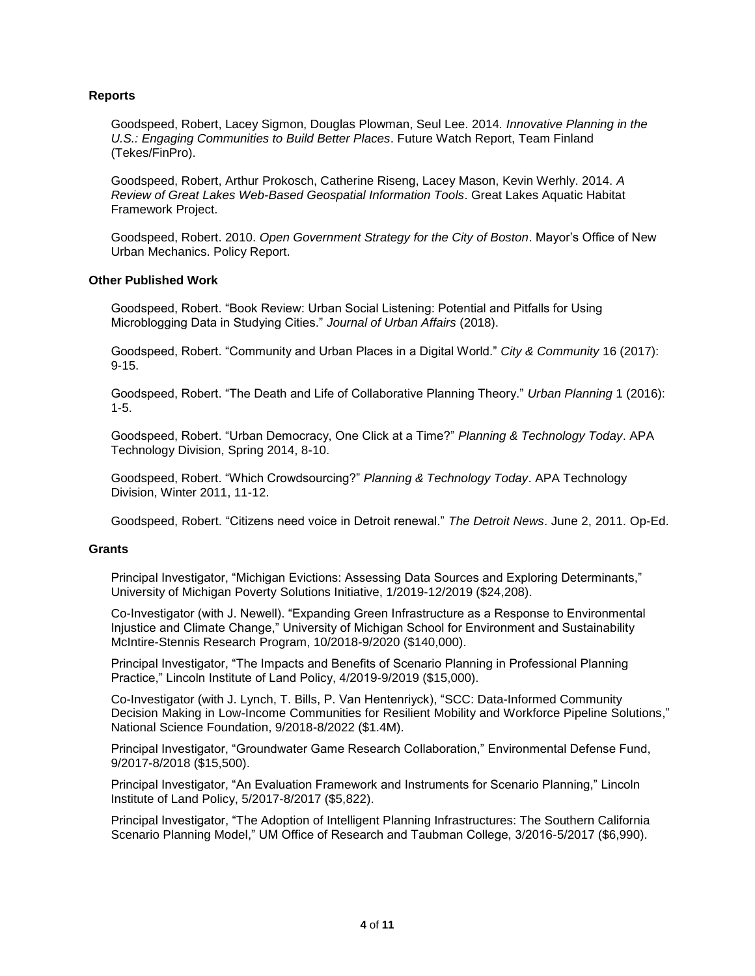# **Reports**

Goodspeed, Robert, Lacey Sigmon, Douglas Plowman, Seul Lee. 2014*. Innovative Planning in the U.S.: Engaging Communities to Build Better Places*. Future Watch Report, Team Finland (Tekes/FinPro).

Goodspeed, Robert, Arthur Prokosch, Catherine Riseng, Lacey Mason, Kevin Werhly. 2014. *A Review of Great Lakes Web-Based Geospatial Information Tools*. Great Lakes Aquatic Habitat Framework Project.

Goodspeed, Robert. 2010. *Open Government Strategy for the City of Boston*. Mayor's Office of New Urban Mechanics. Policy Report.

# **Other Published Work**

Goodspeed, Robert. "Book Review: Urban Social Listening: Potential and Pitfalls for Using Microblogging Data in Studying Cities." *Journal of Urban Affairs* (2018).

Goodspeed, Robert. "Community and Urban Places in a Digital World." *City & Community* 16 (2017): 9-15.

Goodspeed, Robert. "The Death and Life of Collaborative Planning Theory." *Urban Planning* 1 (2016): 1-5.

Goodspeed, Robert. "Urban Democracy, One Click at a Time?" *Planning & Technology Today*. APA Technology Division, Spring 2014, 8-10.

Goodspeed, Robert. "Which Crowdsourcing?" *Planning & Technology Today*. APA Technology Division, Winter 2011, 11-12.

Goodspeed, Robert. "Citizens need voice in Detroit renewal." *The Detroit News*. June 2, 2011. Op-Ed.

# **Grants**

Principal Investigator, "Michigan Evictions: Assessing Data Sources and Exploring Determinants," University of Michigan Poverty Solutions Initiative, 1/2019-12/2019 (\$24,208).

Co-Investigator (with J. Newell). "Expanding Green Infrastructure as a Response to Environmental Injustice and Climate Change," University of Michigan School for Environment and Sustainability McIntire-Stennis Research Program, 10/2018-9/2020 (\$140,000).

Principal Investigator, "The Impacts and Benefits of Scenario Planning in Professional Planning Practice," Lincoln Institute of Land Policy, 4/2019-9/2019 (\$15,000).

Co-Investigator (with J. Lynch, T. Bills, P. Van Hentenriyck), "SCC: Data-Informed Community Decision Making in Low-Income Communities for Resilient Mobility and Workforce Pipeline Solutions," National Science Foundation, 9/2018-8/2022 (\$1.4M).

Principal Investigator, "Groundwater Game Research Collaboration," Environmental Defense Fund, 9/2017-8/2018 (\$15,500).

Principal Investigator, "An Evaluation Framework and Instruments for Scenario Planning," Lincoln Institute of Land Policy, 5/2017-8/2017 (\$5,822).

Principal Investigator, "The Adoption of Intelligent Planning Infrastructures: The Southern California Scenario Planning Model," UM Office of Research and Taubman College, 3/2016-5/2017 (\$6,990).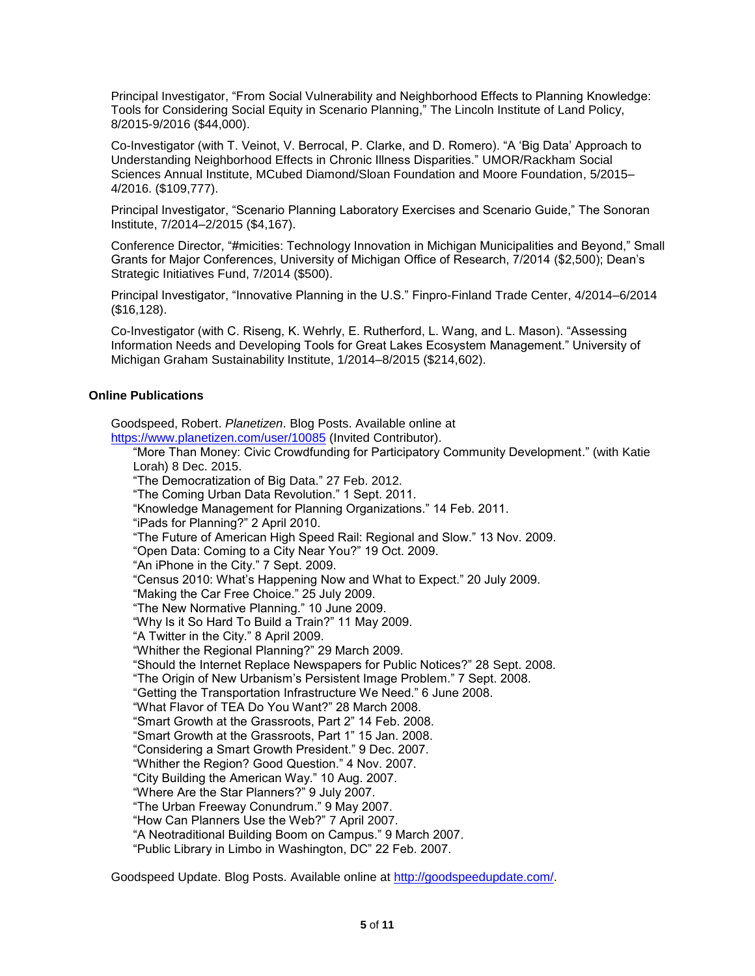Principal Investigator, "From Social Vulnerability and Neighborhood Effects to Planning Knowledge: Tools for Considering Social Equity in Scenario Planning," The Lincoln Institute of Land Policy, 8/2015-9/2016 (\$44,000).

Co-Investigator (with T. Veinot, V. Berrocal, P. Clarke, and D. Romero). "A 'Big Data' Approach to Understanding Neighborhood Effects in Chronic Illness Disparities." UMOR/Rackham Social Sciences Annual Institute, MCubed Diamond/Sloan Foundation and Moore Foundation, 5/2015– 4/2016. (\$109,777).

Principal Investigator, "Scenario Planning Laboratory Exercises and Scenario Guide," The Sonoran Institute, 7/2014–2/2015 (\$4,167).

Conference Director, "#micities: Technology Innovation in Michigan Municipalities and Beyond," Small Grants for Major Conferences, University of Michigan Office of Research, 7/2014 (\$2,500); Dean's Strategic Initiatives Fund, 7/2014 (\$500).

Principal Investigator, "Innovative Planning in the U.S." Finpro-Finland Trade Center, 4/2014–6/2014 (\$16,128).

Co-Investigator (with C. Riseng, K. Wehrly, E. Rutherford, L. Wang, and L. Mason). "Assessing Information Needs and Developing Tools for Great Lakes Ecosystem Management." University of Michigan Graham Sustainability Institute, 1/2014–8/2015 (\$214,602).

# **Online Publications**

Goodspeed, Robert. *Planetizen*. Blog Posts. Available online at <https://www.planetizen.com/user/10085> (Invited Contributor). "More Than Money: Civic Crowdfunding for Participatory Community Development." (with Katie Lorah) 8 Dec. 2015. "The Democratization of Big Data." 27 Feb. 2012. "The Coming Urban Data Revolution." 1 Sept. 2011. "Knowledge Management for Planning Organizations." 14 Feb. 2011. "iPads for Planning?" 2 April 2010. "The Future of American High Speed Rail: Regional and Slow." 13 Nov. 2009. "Open Data: Coming to a City Near You?" 19 Oct. 2009. "An iPhone in the City." 7 Sept. 2009. "Census 2010: What's Happening Now and What to Expect." 20 July 2009. "Making the Car Free Choice." 25 July 2009. "The New Normative Planning." 10 June 2009. "Why Is it So Hard To Build a Train?" 11 May 2009. "A Twitter in the City." 8 April 2009. "Whither the Regional Planning?" 29 March 2009. "Should the Internet Replace Newspapers for Public Notices?" 28 Sept. 2008. "The Origin of New Urbanism's Persistent Image Problem." 7 Sept. 2008. "Getting the Transportation Infrastructure We Need." 6 June 2008. "What Flavor of TEA Do You Want?" 28 March 2008. "Smart Growth at the Grassroots, Part 2" 14 Feb. 2008. "Smart Growth at the Grassroots, Part 1" 15 Jan. 2008. "Considering a Smart Growth President." 9 Dec. 2007. "Whither the Region? Good Question." 4 Nov. 2007. "City Building the American Way." 10 Aug. 2007. "Where Are the Star Planners?" 9 July 2007. "The Urban Freeway Conundrum." 9 May 2007. "How Can Planners Use the Web?" 7 April 2007. "A Neotraditional Building Boom on Campus." 9 March 2007. "Public Library in Limbo in Washington, DC" 22 Feb. 2007.

Goodspeed Update. Blog Posts. Available online at [http://goodspeedupdate.com/.](http://goodspeedupdate.com/)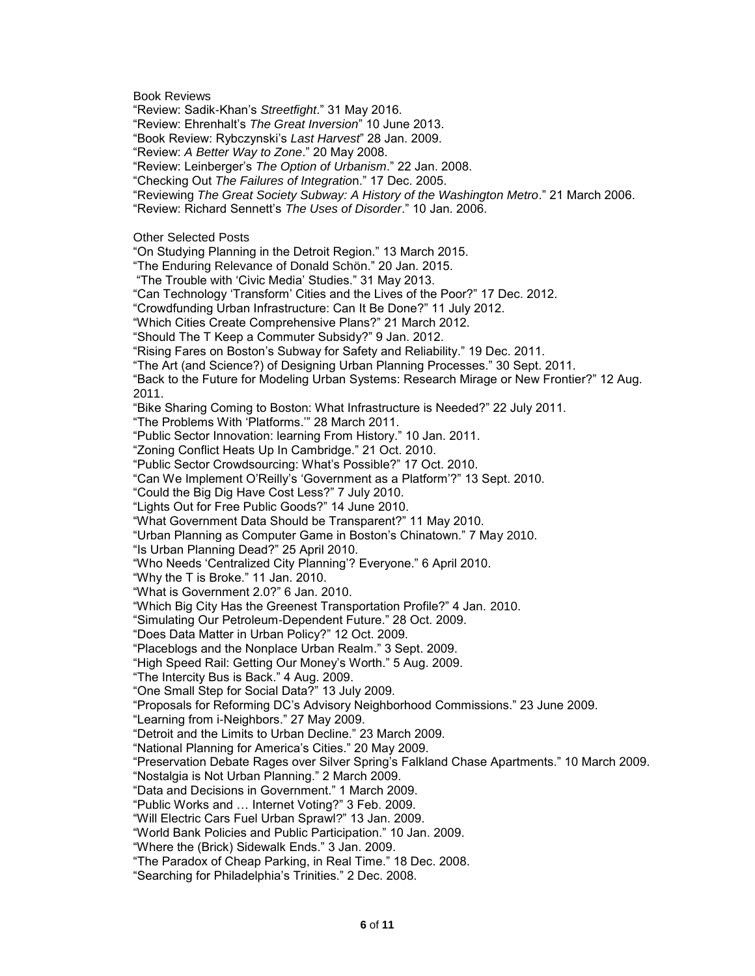Book Reviews "Review: Sadik-Khan's *Streetfight*." 31 May 2016. "Review: Ehrenhalt's *The Great Inversion*" 10 June 2013. "Book Review: Rybczynski's *Last Harvest*" 28 Jan. 2009. "Review: *A Better Way to Zone*." 20 May 2008. "Review: Leinberger's *The Option of Urbanism*." 22 Jan. 2008. "Checking Out *The Failures of Integratio*n." 17 Dec. 2005. "Reviewing *The Great Society Subway: A History of the Washington Metro*." 21 March 2006. "Review: Richard Sennett's *The Uses of Disorder*." 10 Jan. 2006. Other Selected Posts "On Studying Planning in the Detroit Region." 13 March 2015. "The Enduring Relevance of Donald Schön." 20 Jan. 2015. "The Trouble with 'Civic Media' Studies." 31 May 2013. "Can Technology 'Transform' Cities and the Lives of the Poor?" 17 Dec. 2012. "Crowdfunding Urban Infrastructure: Can It Be Done?" 11 July 2012. "Which Cities Create Comprehensive Plans?" 21 March 2012. "Should The T Keep a Commuter Subsidy?" 9 Jan. 2012. "Rising Fares on Boston's Subway for Safety and Reliability." 19 Dec. 2011. "The Art (and Science?) of Designing Urban Planning Processes." 30 Sept. 2011. "Back to the Future for Modeling Urban Systems: Research Mirage or New Frontier?" 12 Aug. 2011. "Bike Sharing Coming to Boston: What Infrastructure is Needed?" 22 July 2011. "The Problems With 'Platforms.'" 28 March 2011. "Public Sector Innovation: learning From History." 10 Jan. 2011. "Zoning Conflict Heats Up In Cambridge." 21 Oct. 2010. "Public Sector Crowdsourcing: What's Possible?" 17 Oct. 2010. "Can We Implement O'Reilly's 'Government as a Platform'?" 13 Sept. 2010. "Could the Big Dig Have Cost Less?" 7 July 2010. "Lights Out for Free Public Goods?" 14 June 2010. "What Government Data Should be Transparent?" 11 May 2010. "Urban Planning as Computer Game in Boston's Chinatown." 7 May 2010. "Is Urban Planning Dead?" 25 April 2010. "Who Needs 'Centralized City Planning'? Everyone." 6 April 2010. "Why the T is Broke." 11 Jan. 2010. "What is Government 2.0?" 6 Jan. 2010. "Which Big City Has the Greenest Transportation Profile?" 4 Jan. 2010. "Simulating Our Petroleum-Dependent Future." 28 Oct. 2009. "Does Data Matter in Urban Policy?" 12 Oct. 2009. "Placeblogs and the Nonplace Urban Realm." 3 Sept. 2009. "High Speed Rail: Getting Our Money's Worth." 5 Aug. 2009. "The Intercity Bus is Back." 4 Aug. 2009. "One Small Step for Social Data?" 13 July 2009. "Proposals for Reforming DC's Advisory Neighborhood Commissions." 23 June 2009. "Learning from i-Neighbors." 27 May 2009. "Detroit and the Limits to Urban Decline." 23 March 2009. "National Planning for America's Cities." 20 May 2009. "Preservation Debate Rages over Silver Spring's Falkland Chase Apartments." 10 March 2009. "Nostalgia is Not Urban Planning." 2 March 2009. "Data and Decisions in Government." 1 March 2009. "Public Works and … Internet Voting?" 3 Feb. 2009. "Will Electric Cars Fuel Urban Sprawl?" 13 Jan. 2009. "World Bank Policies and Public Participation." 10 Jan. 2009. "Where the (Brick) Sidewalk Ends." 3 Jan. 2009. "The Paradox of Cheap Parking, in Real Time." 18 Dec. 2008. "Searching for Philadelphia's Trinities." 2 Dec. 2008.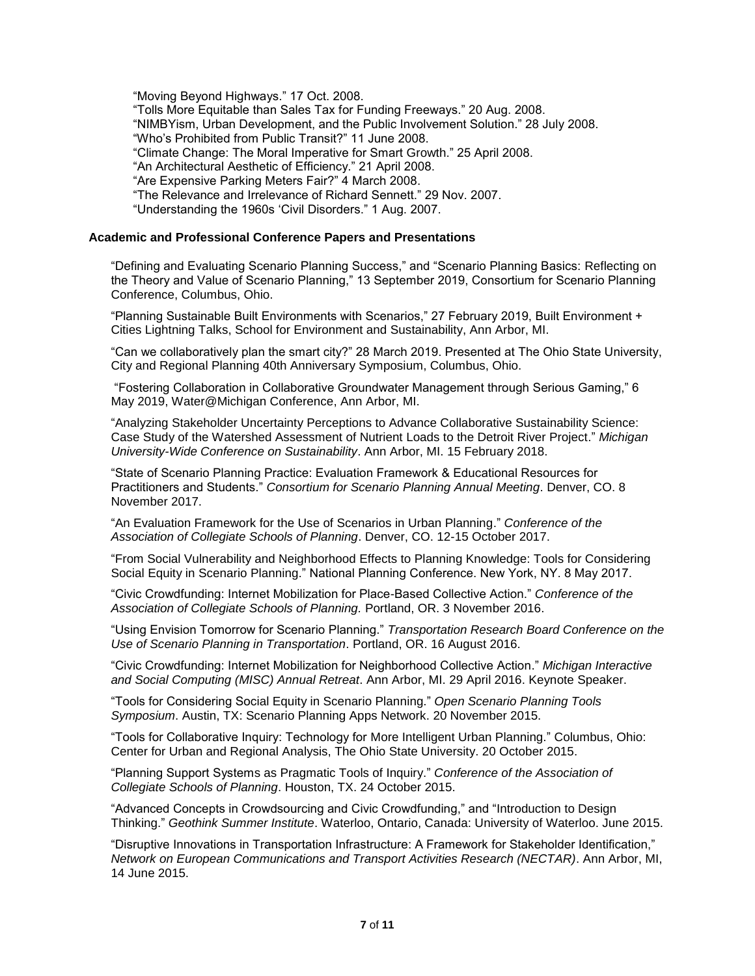"Moving Beyond Highways." 17 Oct. 2008. "Tolls More Equitable than Sales Tax for Funding Freeways." 20 Aug. 2008. "NIMBYism, Urban Development, and the Public Involvement Solution." 28 July 2008. "Who's Prohibited from Public Transit?" 11 June 2008. "Climate Change: The Moral Imperative for Smart Growth." 25 April 2008. "An Architectural Aesthetic of Efficiency." 21 April 2008. "Are Expensive Parking Meters Fair?" 4 March 2008. "The Relevance and Irrelevance of Richard Sennett." 29 Nov. 2007. "Understanding the 1960s 'Civil Disorders." 1 Aug. 2007.

# **Academic and Professional Conference Papers and Presentations**

"Defining and Evaluating Scenario Planning Success," and "Scenario Planning Basics: Reflecting on the Theory and Value of Scenario Planning," 13 September 2019, Consortium for Scenario Planning Conference, Columbus, Ohio.

"Planning Sustainable Built Environments with Scenarios," 27 February 2019, Built Environment + Cities Lightning Talks, School for Environment and Sustainability, Ann Arbor, MI.

"Can we collaboratively plan the smart city?" 28 March 2019. Presented at The Ohio State University, City and Regional Planning 40th Anniversary Symposium, Columbus, Ohio.

"Fostering Collaboration in Collaborative Groundwater Management through Serious Gaming," 6 May 2019, Water@Michigan Conference, Ann Arbor, MI.

"Analyzing Stakeholder Uncertainty Perceptions to Advance Collaborative Sustainability Science: Case Study of the Watershed Assessment of Nutrient Loads to the Detroit River Project." *Michigan University-Wide Conference on Sustainability*. Ann Arbor, MI. 15 February 2018.

"State of Scenario Planning Practice: Evaluation Framework & Educational Resources for Practitioners and Students." *Consortium for Scenario Planning Annual Meeting*. Denver, CO. 8 November 2017.

"An Evaluation Framework for the Use of Scenarios in Urban Planning." *Conference of the Association of Collegiate Schools of Planning*. Denver, CO. 12-15 October 2017.

"From Social Vulnerability and Neighborhood Effects to Planning Knowledge: Tools for Considering Social Equity in Scenario Planning." National Planning Conference. New York, NY. 8 May 2017.

"Civic Crowdfunding: Internet Mobilization for Place-Based Collective Action." *Conference of the Association of Collegiate Schools of Planning.* Portland, OR. 3 November 2016.

"Using Envision Tomorrow for Scenario Planning." *Transportation Research Board Conference on the Use of Scenario Planning in Transportation*. Portland, OR. 16 August 2016.

"Civic Crowdfunding: Internet Mobilization for Neighborhood Collective Action." *Michigan Interactive and Social Computing (MISC) Annual Retreat*. Ann Arbor, MI. 29 April 2016. Keynote Speaker.

"Tools for Considering Social Equity in Scenario Planning." *Open Scenario Planning Tools Symposium*. Austin, TX: Scenario Planning Apps Network. 20 November 2015.

"Tools for Collaborative Inquiry: Technology for More Intelligent Urban Planning." Columbus, Ohio: Center for Urban and Regional Analysis, The Ohio State University. 20 October 2015.

"Planning Support Systems as Pragmatic Tools of Inquiry." *Conference of the Association of Collegiate Schools of Planning*. Houston, TX. 24 October 2015.

"Advanced Concepts in Crowdsourcing and Civic Crowdfunding," and "Introduction to Design Thinking." *Geothink Summer Institute*. Waterloo, Ontario, Canada: University of Waterloo. June 2015.

"Disruptive Innovations in Transportation Infrastructure: A Framework for Stakeholder Identification," *Network on European Communications and Transport Activities Research (NECTAR)*. Ann Arbor, MI, 14 June 2015.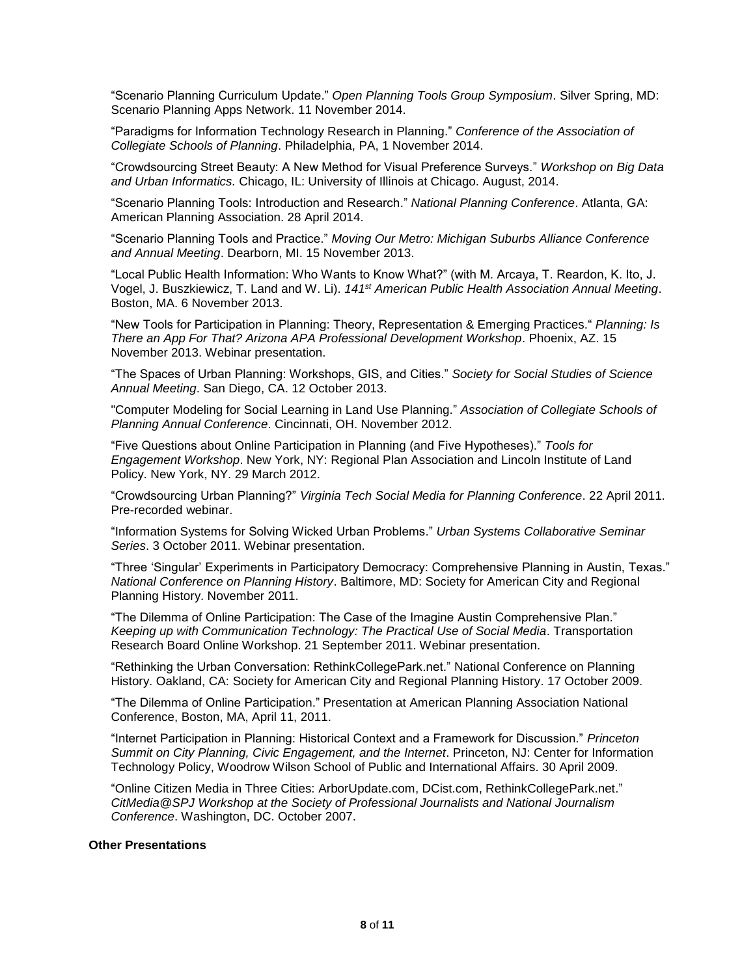"Scenario Planning Curriculum Update." *Open Planning Tools Group Symposium*. Silver Spring, MD: Scenario Planning Apps Network. 11 November 2014.

"Paradigms for Information Technology Research in Planning." *Conference of the Association of Collegiate Schools of Planning*. Philadelphia, PA, 1 November 2014.

"Crowdsourcing Street Beauty: A New Method for Visual Preference Surveys." *Workshop on Big Data and Urban Informatics.* Chicago, IL: University of Illinois at Chicago. August, 2014.

"Scenario Planning Tools: Introduction and Research." *National Planning Conference*. Atlanta, GA: American Planning Association. 28 April 2014.

"Scenario Planning Tools and Practice." *Moving Our Metro: Michigan Suburbs Alliance Conference and Annual Meeting*. Dearborn, MI. 15 November 2013.

"Local Public Health Information: Who Wants to Know What?" (with M. Arcaya, T. Reardon, K. Ito, J. Vogel, J. Buszkiewicz, T. Land and W. Li). *141st American Public Health Association Annual Meeting*. Boston, MA. 6 November 2013.

"New Tools for Participation in Planning: Theory, Representation & Emerging Practices." *Planning: Is There an App For That? Arizona APA Professional Development Workshop*. Phoenix, AZ. 15 November 2013. Webinar presentation.

"The Spaces of Urban Planning: Workshops, GIS, and Cities." *Society for Social Studies of Science Annual Meeting*. San Diego, CA. 12 October 2013.

"Computer Modeling for Social Learning in Land Use Planning." *Association of Collegiate Schools of Planning Annual Conference*. Cincinnati, OH. November 2012.

"Five Questions about Online Participation in Planning (and Five Hypotheses)." *Tools for Engagement Workshop*. New York, NY: Regional Plan Association and Lincoln Institute of Land Policy. New York, NY. 29 March 2012.

"Crowdsourcing Urban Planning?" *Virginia Tech Social Media for Planning Conference*. 22 April 2011. Pre-recorded webinar.

"Information Systems for Solving Wicked Urban Problems." *Urban Systems Collaborative Seminar Series*. 3 October 2011. Webinar presentation.

"Three 'Singular' Experiments in Participatory Democracy: Comprehensive Planning in Austin, Texas." *National Conference on Planning History*. Baltimore, MD: Society for American City and Regional Planning History. November 2011.

"The Dilemma of Online Participation: The Case of the Imagine Austin Comprehensive Plan." *Keeping up with Communication Technology: The Practical Use of Social Media*. Transportation Research Board Online Workshop. 21 September 2011. Webinar presentation.

"Rethinking the Urban Conversation: RethinkCollegePark.net." National Conference on Planning History. Oakland, CA: Society for American City and Regional Planning History. 17 October 2009.

"The Dilemma of Online Participation." Presentation at American Planning Association National Conference, Boston, MA, April 11, 2011.

"Internet Participation in Planning: Historical Context and a Framework for Discussion." *Princeton Summit on City Planning, Civic Engagement, and the Internet*. Princeton, NJ: Center for Information Technology Policy, Woodrow Wilson School of Public and International Affairs. 30 April 2009.

"Online Citizen Media in Three Cities: ArborUpdate.com, DCist.com, RethinkCollegePark.net." *CitMedia@SPJ Workshop at the Society of Professional Journalists and National Journalism Conference*. Washington, DC. October 2007.

## **Other Presentations**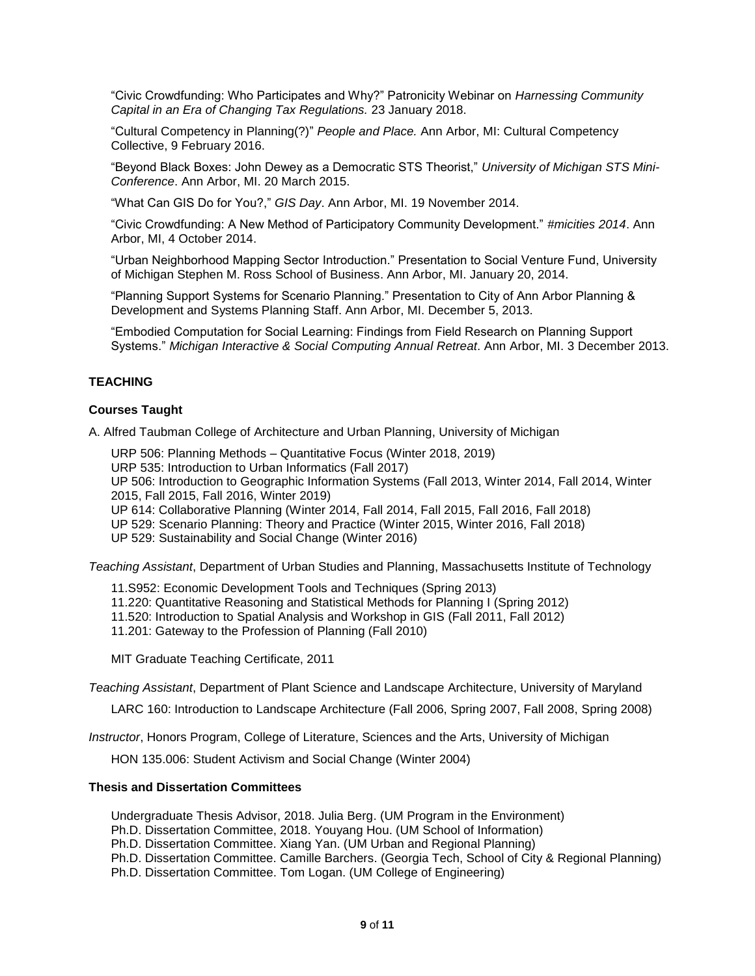"Civic Crowdfunding: Who Participates and Why?" Patronicity Webinar on *Harnessing Community Capital in an Era of Changing Tax Regulations.* 23 January 2018.

"Cultural Competency in Planning(?)" *People and Place.* Ann Arbor, MI: Cultural Competency Collective, 9 February 2016.

"Beyond Black Boxes: John Dewey as a Democratic STS Theorist," *University of Michigan STS Mini-Conference*. Ann Arbor, MI. 20 March 2015.

"What Can GIS Do for You?," *GIS Day*. Ann Arbor, MI. 19 November 2014.

"Civic Crowdfunding: A New Method of Participatory Community Development." *#micities 2014*. Ann Arbor, MI, 4 October 2014.

"Urban Neighborhood Mapping Sector Introduction." Presentation to Social Venture Fund, University of Michigan Stephen M. Ross School of Business. Ann Arbor, MI. January 20, 2014.

"Planning Support Systems for Scenario Planning." Presentation to City of Ann Arbor Planning & Development and Systems Planning Staff. Ann Arbor, MI. December 5, 2013.

"Embodied Computation for Social Learning: Findings from Field Research on Planning Support Systems." *Michigan Interactive & Social Computing Annual Retreat*. Ann Arbor, MI. 3 December 2013.

# **TEACHING**

## **Courses Taught**

A. Alfred Taubman College of Architecture and Urban Planning, University of Michigan

URP 506: Planning Methods – Quantitative Focus (Winter 2018, 2019)

URP 535: Introduction to Urban Informatics (Fall 2017)

UP 506: Introduction to Geographic Information Systems (Fall 2013, Winter 2014, Fall 2014, Winter 2015, Fall 2015, Fall 2016, Winter 2019)

UP 614: Collaborative Planning (Winter 2014, Fall 2014, Fall 2015, Fall 2016, Fall 2018)

UP 529: Scenario Planning: Theory and Practice (Winter 2015, Winter 2016, Fall 2018)

UP 529: Sustainability and Social Change (Winter 2016)

*Teaching Assistant*, Department of Urban Studies and Planning, Massachusetts Institute of Technology

11.S952: Economic Development Tools and Techniques (Spring 2013)

- 11.220: Quantitative Reasoning and Statistical Methods for Planning I (Spring 2012)
- 11.520: Introduction to Spatial Analysis and Workshop in GIS (Fall 2011, Fall 2012)
- 11.201: Gateway to the Profession of Planning (Fall 2010)

MIT Graduate Teaching Certificate, 2011

*Teaching Assistant*, Department of Plant Science and Landscape Architecture, University of Maryland

LARC 160: Introduction to Landscape Architecture (Fall 2006, Spring 2007, Fall 2008, Spring 2008)

*Instructor*, Honors Program, College of Literature, Sciences and the Arts, University of Michigan

HON 135.006: Student Activism and Social Change (Winter 2004)

# **Thesis and Dissertation Committees**

Undergraduate Thesis Advisor, 2018. Julia Berg. (UM Program in the Environment)

Ph.D. Dissertation Committee, 2018. Youyang Hou. (UM School of Information)

Ph.D. Dissertation Committee. Xiang Yan. (UM Urban and Regional Planning)

Ph.D. Dissertation Committee. Camille Barchers. (Georgia Tech, School of City & Regional Planning)

Ph.D. Dissertation Committee. Tom Logan. (UM College of Engineering)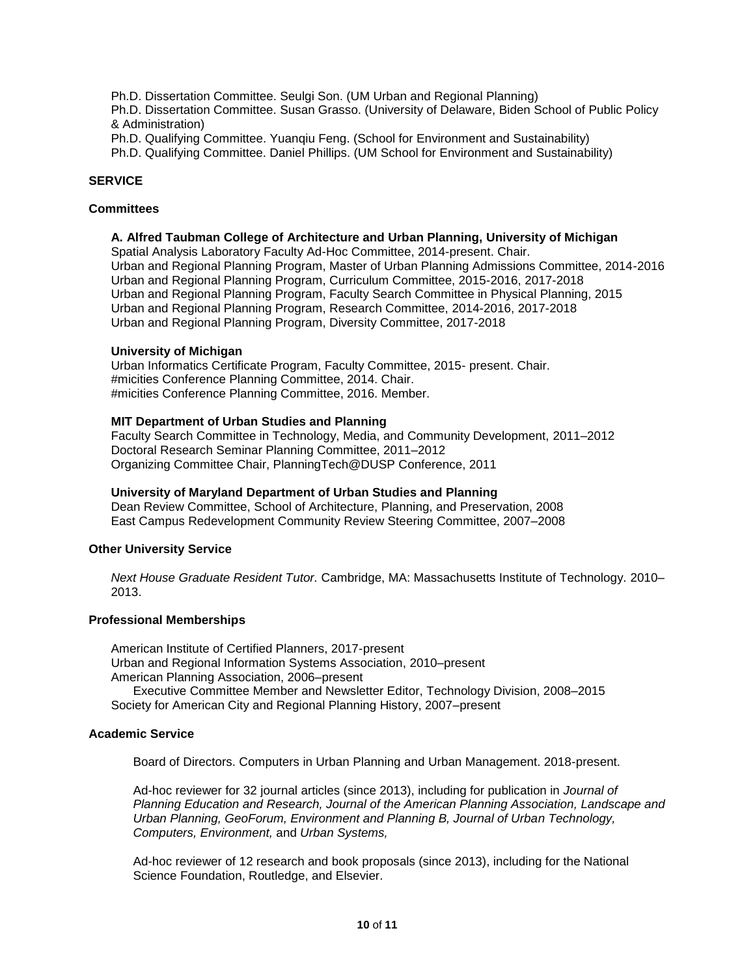Ph.D. Dissertation Committee. Seulgi Son. (UM Urban and Regional Planning)

Ph.D. Dissertation Committee. Susan Grasso. (University of Delaware, Biden School of Public Policy & Administration)

Ph.D. Qualifying Committee. Yuanqiu Feng. (School for Environment and Sustainability)

Ph.D. Qualifying Committee. Daniel Phillips. (UM School for Environment and Sustainability)

# **SERVICE**

# **Committees**

# **A. Alfred Taubman College of Architecture and Urban Planning, University of Michigan**

Spatial Analysis Laboratory Faculty Ad-Hoc Committee, 2014-present. Chair. Urban and Regional Planning Program, Master of Urban Planning Admissions Committee, 2014-2016 Urban and Regional Planning Program, Curriculum Committee, 2015-2016, 2017-2018 Urban and Regional Planning Program, Faculty Search Committee in Physical Planning, 2015 Urban and Regional Planning Program, Research Committee, 2014-2016, 2017-2018 Urban and Regional Planning Program, Diversity Committee, 2017-2018

## **University of Michigan**

Urban Informatics Certificate Program, Faculty Committee, 2015- present. Chair. #micities Conference Planning Committee, 2014. Chair. #micities Conference Planning Committee, 2016. Member.

# **MIT Department of Urban Studies and Planning**

Faculty Search Committee in Technology, Media, and Community Development, 2011–2012 Doctoral Research Seminar Planning Committee, 2011–2012 Organizing Committee Chair, PlanningTech@DUSP Conference, 2011

# **University of Maryland Department of Urban Studies and Planning**

Dean Review Committee, School of Architecture, Planning, and Preservation, 2008 East Campus Redevelopment Community Review Steering Committee, 2007–2008

# **Other University Service**

*Next House Graduate Resident Tutor.* Cambridge, MA: Massachusetts Institute of Technology. 2010– 2013.

# **Professional Memberships**

American Institute of Certified Planners, 2017-present Urban and Regional Information Systems Association, 2010–present American Planning Association, 2006–present Executive Committee Member and Newsletter Editor, Technology Division, 2008–2015 Society for American City and Regional Planning History, 2007–present

# **Academic Service**

Board of Directors. Computers in Urban Planning and Urban Management. 2018-present.

Ad-hoc reviewer for 32 journal articles (since 2013), including for publication in *Journal of Planning Education and Research, Journal of the American Planning Association, Landscape and Urban Planning, GeoForum, Environment and Planning B, Journal of Urban Technology, Computers, Environment,* and *Urban Systems,* 

Ad-hoc reviewer of 12 research and book proposals (since 2013), including for the National Science Foundation, Routledge, and Elsevier.